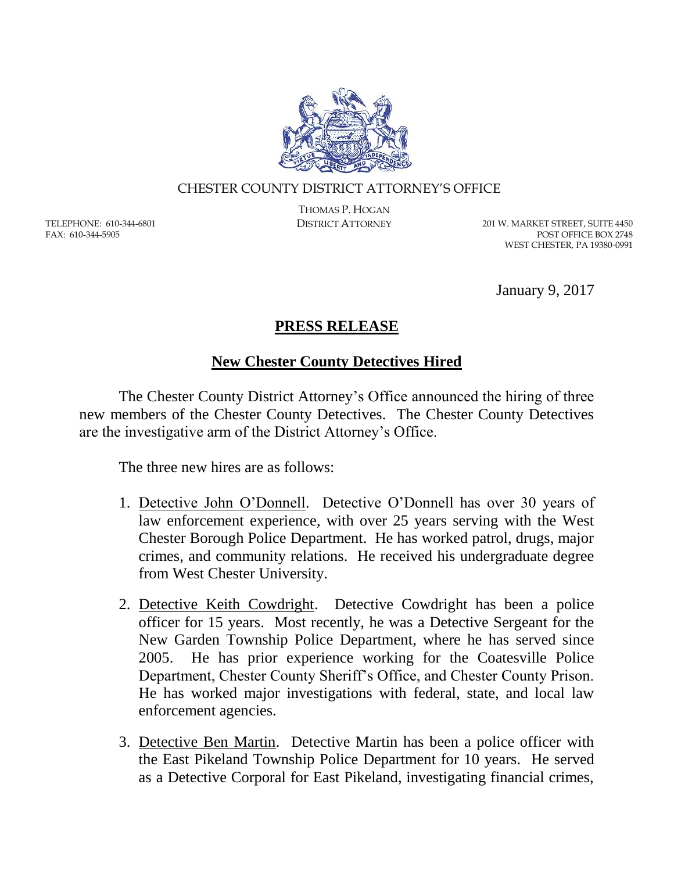

## CHESTER COUNTY DISTRICT ATTORNEY'S OFFICE

TELEPHONE: 610-344-6801 FAX: 610-344-5905

THOMAS P. HOGAN

DISTRICT ATTORNEY 201 W. MARKET STREET, SUITE 4450 POST OFFICE BOX 2748 WEST CHESTER, PA 19380-0991

January 9, 2017

## **PRESS RELEASE**

## **New Chester County Detectives Hired**

The Chester County District Attorney's Office announced the hiring of three new members of the Chester County Detectives. The Chester County Detectives are the investigative arm of the District Attorney's Office.

The three new hires are as follows:

- 1. Detective John O'Donnell. Detective O'Donnell has over 30 years of law enforcement experience, with over 25 years serving with the West Chester Borough Police Department. He has worked patrol, drugs, major crimes, and community relations. He received his undergraduate degree from West Chester University.
- 2. Detective Keith Cowdright. Detective Cowdright has been a police officer for 15 years. Most recently, he was a Detective Sergeant for the New Garden Township Police Department, where he has served since 2005. He has prior experience working for the Coatesville Police Department, Chester County Sheriff's Office, and Chester County Prison. He has worked major investigations with federal, state, and local law enforcement agencies.
- 3. Detective Ben Martin. Detective Martin has been a police officer with the East Pikeland Township Police Department for 10 years. He served as a Detective Corporal for East Pikeland, investigating financial crimes,